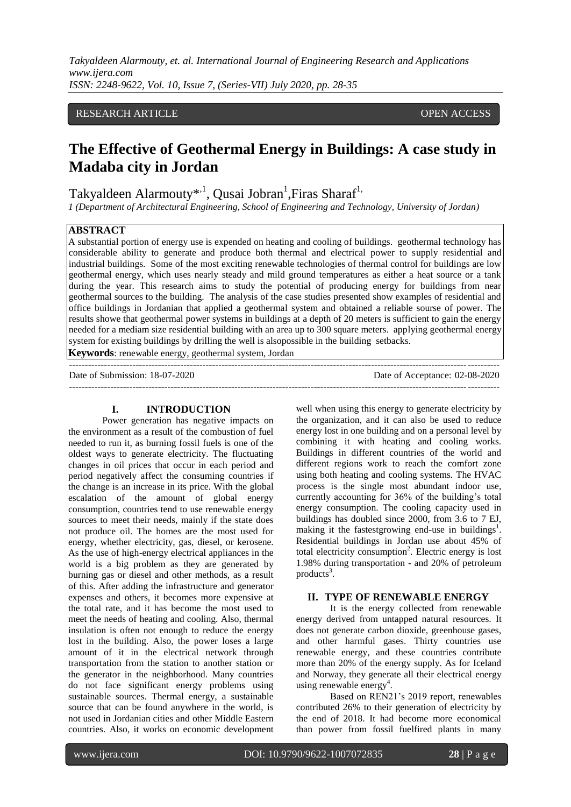#### RESEAR RESEARCH ARTICLE OPEN ACCESSCH ARTICLE OPEN ACCESS

# **The Effective of Geothermal Energy in Buildings: A case study in Madaba city in Jordan**

Takyaldeen Alarmouty<sup>\*,1</sup>, Qusai Jobran<sup>1</sup>, Firas Sharaf<sup>1,</sup>

*1 (Department of Architectural Engineering, School of Engineering and Technology, University of Jordan)*

### **ABSTRACT**

A substantial portion of energy use is expended on heating and cooling of buildings. geothermal technology has considerable ability to generate and produce both thermal and electrical power to supply residential and industrial buildings. Some of the most exciting renewable technologies of thermal control for buildings are low geothermal energy, which uses nearly steady and mild ground temperatures as either a heat source or a tank during the year. This research aims to study the potential of producing energy for buildings from near geothermal sources to the building. The analysis of the case studies presented show examples of residential and office buildings in Jordanian that applied a geothermal system and obtained a reliable sourse of power. The results showe that geothermal power systems in buildings at a depth of 20 meters is sufficient to gain the energy needed for a mediam size residential building with an area up to 300 square meters. applying geothermal energy system for existing buildings by drilling the well is alsopossible in the building setbacks.

**Keywords**: renewable energy, geothermal system, Jordan

--------------------------------------------------------------------------------------------------------------------------------------- Date of Submission: 18-07-2020 Date of Acceptance: 02-08-2020  $-1\leq i\leq n-1$ 

#### **I. INTRODUCTION**

Power generation has negative impacts on the environment as a result of the combustion of fuel needed to run it, as burning fossil fuels is one of the oldest ways to generate electricity. The fluctuating changes in oil prices that occur in each period and period negatively affect the consuming countries if the change is an increase in its price. With the global escalation of the amount of global energy consumption, countries tend to use renewable energy sources to meet their needs, mainly if the state does not produce oil. The homes are the most used for energy, whether electricity, gas, diesel, or kerosene. As the use of high-energy electrical appliances in the world is a big problem as they are generated by burning gas or diesel and other methods, as a result of this. After adding the infrastructure and generator expenses and others, it becomes more expensive at the total rate, and it has become the most used to meet the needs of heating and cooling. Also, thermal insulation is often not enough to reduce the energy lost in the building. Also, the power loses a large amount of it in the electrical network through transportation from the station to another station or the generator in the neighborhood. Many countries do not face significant energy problems using sustainable sources. Thermal energy, a sustainable source that can be found anywhere in the world, is not used in Jordanian cities and other Middle Eastern countries. Also, it works on economic development

well when using this energy to generate electricity by the organization, and it can also be used to reduce energy lost in one building and on a personal level by combining it with heating and cooling works. Buildings in different countries of the world and different regions work to reach the comfort zone using both heating and cooling systems. The HVAC process is the single most abundant indoor use, currently accounting for 36% of the building's total energy consumption. The cooling capacity used in buildings has doubled since 2000, from 3.6 to 7 EJ, making it the fastestgrowing end-use in buildings<sup>1</sup>. Residential buildings in Jordan use about 45% of total electricity consumption<sup>2</sup>. Electric energy is lost 1.98% during transportation - and 20% of petroleum products<sup>3</sup>.

#### **II. TYPE OF RENEWABLE ENERGY**

It is the energy collected from renewable energy derived from untapped natural resources. It does not generate carbon dioxide, greenhouse gases, and other harmful gases. Thirty countries use renewable energy, and these countries contribute more than 20% of the energy supply. As for Iceland and Norway, they generate all their electrical energy using renewable energy<sup>4</sup>.

Based on REN21's 2019 report, renewables contributed 26% to their generation of electricity by the end of 2018. It had become more economical than power from fossil fuelfired plants in many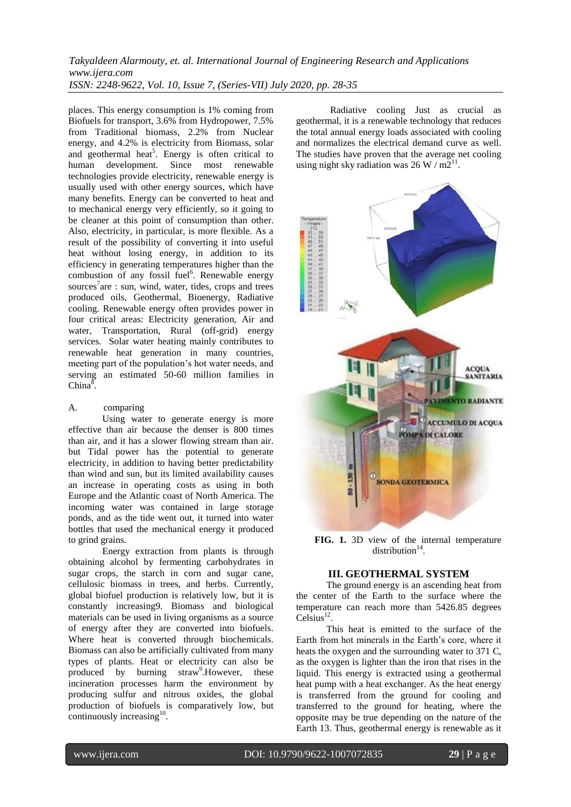places. This energy consumption is 1% coming from Biofuels for transport, 3.6% from Hydropower, 7.5% from Traditional biomass, 2.2% from Nuclear energy, and 4.2% is electricity from Biomass, solar and geothermal heat<sup>5</sup>. Energy is often critical to human development. Since most renewable technologies provide electricity, renewable energy is usually used with other energy sources, which have many benefits. Energy can be converted to heat and to mechanical energy very efficiently, so it going to be cleaner at this point of consumption than other. Also, electricity, in particular, is more flexible. As a result of the possibility of converting it into useful heat without losing energy, in addition to its efficiency in generating temperatures higher than the combustion of any fossil fuel<sup>6</sup>. Renewable energy sources<sup>7</sup>are : sun, wind, water, tides, crops and trees produced oils, Geothermal, Bioenergy, Radiative cooling. Renewable energy often provides power in four critical areas: Electricity generation, Air and water, Transportation, Rural (off-grid) energy services. Solar water heating mainly contributes to renewable heat generation in many countries, meeting part of the population's hot water needs, and serving an estimated 50-60 million families in China ${}^{\overline{8}}$ .

#### A. comparing

Using water to generate energy is more effective than air because the denser is 800 times than air, and it has a slower flowing stream than air. but Tidal power has the potential to generate electricity, in addition to having better predictability than wind and sun, but its limited availability causes an increase in operating costs as using in both Europe and the Atlantic coast of North America. The incoming water was contained in large storage ponds, and as the tide went out, it turned into water bottles that used the mechanical energy it produced to grind grains.

Energy extraction from plants is through obtaining alcohol by fermenting carbohydrates in sugar crops, the starch in corn and sugar cane, cellulosic biomass in trees, and herbs. Currently, global biofuel production is relatively low, but it is constantly increasing9. Biomass and biological materials can be used in living organisms as a source of energy after they are converted into biofuels. Where heat is converted through biochemicals. Biomass can also be artificially cultivated from many types of plants. Heat or electricity can also be produced by burning  $straw^9$ . However, these incineration processes harm the environment by producing sulfur and nitrous oxides, the global production of biofuels is comparatively low, but continuously increasing .

Radiative cooling Just as crucial as geothermal, it is a renewable technology that reduces the total annual energy loads associated with cooling and normalizes the electrical demand curve as well. The studies have proven that the average net cooling using night sky radiation was  $26 \text{ W} / \text{m} \overline{2}^{11}$ .



**FIG. 1.** 3D view of the internal temperature distribution $14$ .

### **III. GEOTHERMAL SYSTEM**

The ground energy is an ascending heat from the center of the Earth to the surface where the temperature can reach more than 5426.85 degrees Celsius<sup>12</sup>.

This heat is emitted to the surface of the Earth from hot minerals in the Earth's core, where it heats the oxygen and the surrounding water to 371 C, as the oxygen is lighter than the iron that rises in the liquid. This energy is extracted using a geothermal heat pump with a heat exchanger. As the heat energy is transferred from the ground for cooling and transferred to the ground for heating, where the opposite may be true depending on the nature of the Earth 13. Thus, geothermal energy is renewable as it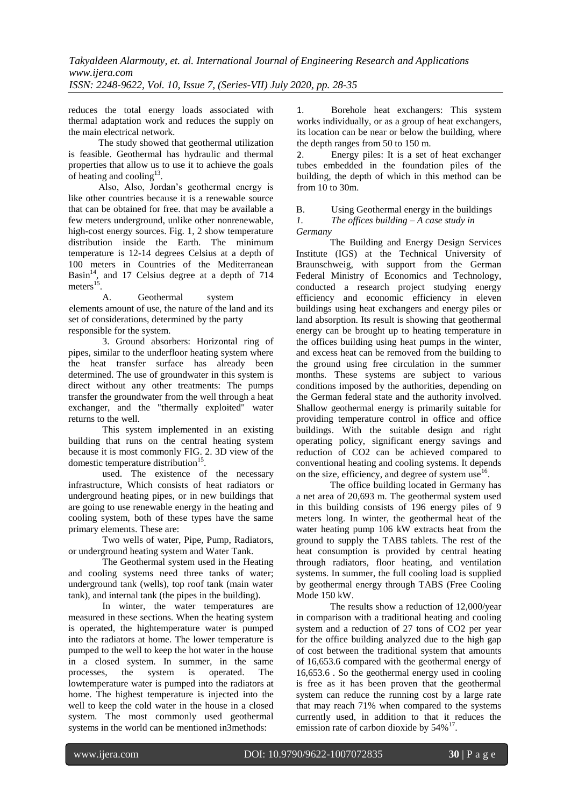reduces the total energy loads associated with thermal adaptation work and reduces the supply on the main electrical network.

The study showed that geothermal utilization is feasible. Geothermal has hydraulic and thermal properties that allow us to use it to achieve the goals of heating and cooling $13$ .

Also, Also, Jordan's geothermal energy is like other countries because it is a renewable source that can be obtained for free. that may be available a few meters underground, unlike other nonrenewable, high-cost energy sources. Fig. 1, 2 show temperature distribution inside the Earth. The minimum temperature is 12-14 degrees Celsius at a depth of 100 meters in Countries of the Mediterranean Basin $^{14}$ , and 17 Celsius degree at a depth of 714 meters $^{15}$ .

A. Geothermal system elements amount of use, the nature of the land and its set of considerations, determined by the party responsible for the system.

3. Ground absorbers: Horizontal ring of pipes, similar to the underfloor heating system where the heat transfer surface has already been determined. The use of groundwater in this system is direct without any other treatments: The pumps transfer the groundwater from the well through a heat exchanger, and the "thermally exploited" water returns to the well.

This system implemented in an existing building that runs on the central heating system because it is most commonly FIG. 2. 3D view of the domestic temperature distribution<sup>15</sup>.

used. The existence of the necessary infrastructure, Which consists of heat radiators or underground heating pipes, or in new buildings that are going to use renewable energy in the heating and cooling system, both of these types have the same primary elements. These are:

Two wells of water, Pipe, Pump, Radiators, or underground heating system and Water Tank.

The Geothermal system used in the Heating and cooling systems need three tanks of water; underground tank (wells), top roof tank (main water tank), and internal tank (the pipes in the building).

In winter, the water temperatures are measured in these sections. When the heating system is operated, the hightemperature water is pumped into the radiators at home. The lower temperature is pumped to the well to keep the hot water in the house in a closed system. In summer, in the same processes, the system is operated. The lowtemperature water is pumped into the radiators at home. The highest temperature is injected into the well to keep the cold water in the house in a closed system. The most commonly used geothermal systems in the world can be mentioned in3methods:

1. Borehole heat exchangers: This system works individually, or as a group of heat exchangers, its location can be near or below the building, where the depth ranges from 50 to 150 m.

2. Energy piles: It is a set of heat exchanger tubes embedded in the foundation piles of the building, the depth of which in this method can be from  $10$  to  $30$ m.

B. Using Geothermal energy in the buildings *1. The offices building – A case study in* 

#### *Germany*

The Building and Energy Design Services Institute (IGS) at the Technical University of Braunschweig, with support from the German Federal Ministry of Economics and Technology, conducted a research project studying energy efficiency and economic efficiency in eleven buildings using heat exchangers and energy piles or land absorption. Its result is showing that geothermal energy can be brought up to heating temperature in the offices building using heat pumps in the winter, and excess heat can be removed from the building to the ground using free circulation in the summer months. These systems are subject to various conditions imposed by the authorities, depending on the German federal state and the authority involved. Shallow geothermal energy is primarily suitable for providing temperature control in office and office buildings. With the suitable design and right operating policy, significant energy savings and reduction of CO2 can be achieved compared to conventional heating and cooling systems. It depends on the size, efficiency, and degree of system use<sup>16</sup>.

The office building located in Germany has a net area of 20,693 m. The geothermal system used in this building consists of 196 energy piles of 9 meters long. In winter, the geothermal heat of the water heating pump 106 kW extracts heat from the ground to supply the TABS tablets. The rest of the heat consumption is provided by central heating through radiators, floor heating, and ventilation systems. In summer, the full cooling load is supplied by geothermal energy through TABS (Free Cooling Mode 150 kW.

The results show a reduction of 12,000/year in comparison with a traditional heating and cooling system and a reduction of 27 tons of CO2 per year for the office building analyzed due to the high gap of cost between the traditional system that amounts of 16,653.6 compared with the geothermal energy of 16,653.6 . So the geothermal energy used in cooling is free as it has been proven that the geothermal system can reduce the running cost by a large rate that may reach 71% when compared to the systems currently used, in addition to that it reduces the emission rate of carbon dioxide by  $54\%^{17}$ .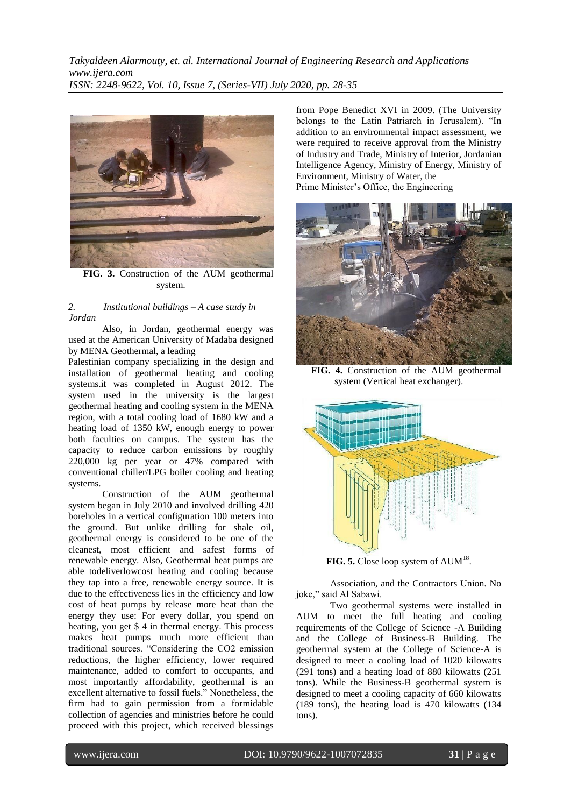

**FIG. 3.** Construction of the AUM geothermal system.

#### *2. Institutional buildings – A case study in Jordan*

Also, in Jordan, geothermal energy was used at the American University of Madaba designed by MENA Geothermal, a leading

Palestinian company specializing in the design and installation of geothermal heating and cooling systems.it was completed in August 2012. The system used in the university is the largest geothermal heating and cooling system in the MENA region, with a total cooling load of 1680 kW and a heating load of 1350 kW, enough energy to power both faculties on campus. The system has the capacity to reduce carbon emissions by roughly 220,000 kg per year or 47% compared with conventional chiller/LPG boiler cooling and heating systems.

Construction of the AUM geothermal system began in July 2010 and involved drilling 420 boreholes in a vertical configuration 100 meters into the ground. But unlike drilling for shale oil, geothermal energy is considered to be one of the cleanest, most efficient and safest forms of renewable energy. Also, Geothermal heat pumps are able todeliverlowcost heating and cooling because they tap into a free, renewable energy source. It is due to the effectiveness lies in the efficiency and low cost of heat pumps by release more heat than the energy they use: For every dollar, you spend on heating, you get \$ 4 in thermal energy. This process makes heat pumps much more efficient than traditional sources. "Considering the CO2 emission reductions, the higher efficiency, lower required maintenance, added to comfort to occupants, and most importantly affordability, geothermal is an excellent alternative to fossil fuels." Nonetheless, the firm had to gain permission from a formidable collection of agencies and ministries before he could proceed with this project, which received blessings

from Pope Benedict XVI in 2009. (The University belongs to the Latin Patriarch in Jerusalem). "In addition to an environmental impact assessment, we were required to receive approval from the Ministry of Industry and Trade, Ministry of Interior, Jordanian Intelligence Agency, Ministry of Energy, Ministry of Environment, Ministry of Water, the Prime Minister's Office, the Engineering



**FIG. 4.** Construction of the AUM geothermal system (Vertical heat exchanger).



**FIG. 5.** Close loop system of  $AUM^{18}$ .

Association, and the Contractors Union. No joke," said Al Sabawi.

Two geothermal systems were installed in AUM to meet the full heating and cooling requirements of the College of Science -A Building and the College of Business-B Building. The geothermal system at the College of Science-A is designed to meet a cooling load of 1020 kilowatts (291 tons) and a heating load of 880 kilowatts (251 tons). While the Business-B geothermal system is designed to meet a cooling capacity of 660 kilowatts (189 tons), the heating load is 470 kilowatts (134 tons).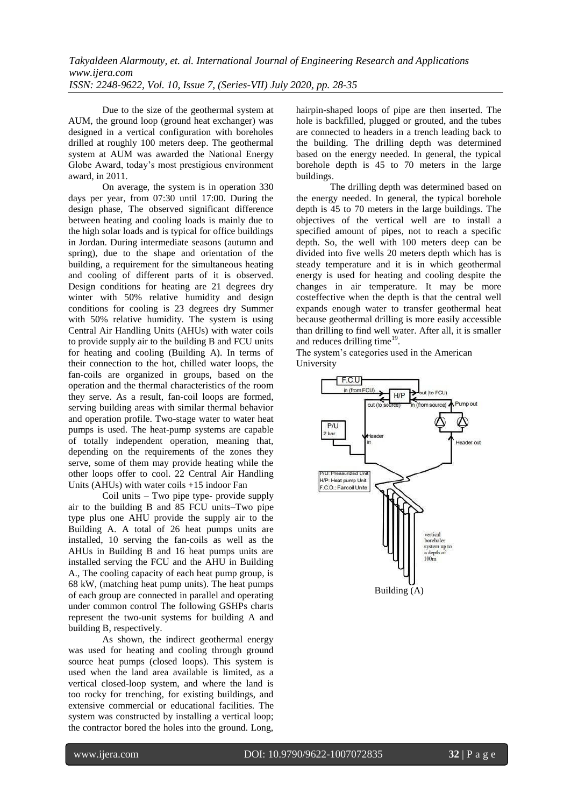Due to the size of the geothermal system at AUM, the ground loop (ground heat exchanger) was designed in a vertical configuration with boreholes drilled at roughly 100 meters deep. The geothermal system at AUM was awarded the National Energy Globe Award, today's most prestigious environment award, in 2011.

On average, the system is in operation 330 days per year, from 07:30 until 17:00. During the design phase, The observed significant difference between heating and cooling loads is mainly due to the high solar loads and is typical for office buildings in Jordan. During intermediate seasons (autumn and spring), due to the shape and orientation of the building, a requirement for the simultaneous heating and cooling of different parts of it is observed. Design conditions for heating are 21 degrees dry winter with 50% relative humidity and design conditions for cooling is 23 degrees dry Summer with 50% relative humidity. The system is using Central Air Handling Units (AHUs) with water coils to provide supply air to the building B and FCU units for heating and cooling (Building A). In terms of their connection to the hot, chilled water loops, the fan-coils are organized in groups, based on the operation and the thermal characteristics of the room they serve. As a result, fan-coil loops are formed, serving building areas with similar thermal behavior and operation profile. Two-stage water to water heat pumps is used. The heat-pump systems are capable of totally independent operation, meaning that, depending on the requirements of the zones they serve, some of them may provide heating while the other loops offer to cool. 22 Central Air Handling Units (AHUs) with water coils +15 indoor Fan

Coil units – Two pipe type- provide supply air to the building B and 85 FCU units–Two pipe type plus one AHU provide the supply air to the Building A. A total of 26 heat pumps units are installed, 10 serving the fan-coils as well as the AHUs in Building B and 16 heat pumps units are installed serving the FCU and the AHU in Building A., The cooling capacity of each heat pump group, is 68 kW, (matching heat pump units). The heat pumps of each group are connected in parallel and operating under common control The following GSHPs charts represent the two-unit systems for building A and building B, respectively.

As shown, the indirect geothermal energy was used for heating and cooling through ground source heat pumps (closed loops). This system is used when the land area available is limited, as a vertical closed-loop system, and where the land is too rocky for trenching, for existing buildings, and extensive commercial or educational facilities. The system was constructed by installing a vertical loop; the contractor bored the holes into the ground. Long,

hairpin-shaped loops of pipe are then inserted. The hole is backfilled, plugged or grouted, and the tubes are connected to headers in a trench leading back to the building. The drilling depth was determined based on the energy needed. In general, the typical borehole depth is 45 to 70 meters in the large buildings.

The drilling depth was determined based on the energy needed. In general, the typical borehole depth is 45 to 70 meters in the large buildings. The objectives of the vertical well are to install a specified amount of pipes, not to reach a specific depth. So, the well with 100 meters deep can be divided into five wells 20 meters depth which has is steady temperature and it is in which geothermal energy is used for heating and cooling despite the changes in air temperature. It may be more costeffective when the depth is that the central well expands enough water to transfer geothermal heat because geothermal drilling is more easily accessible than drilling to find well water. After all, it is smaller and reduces drilling time<sup>19</sup>.

The system's categories used in the American University

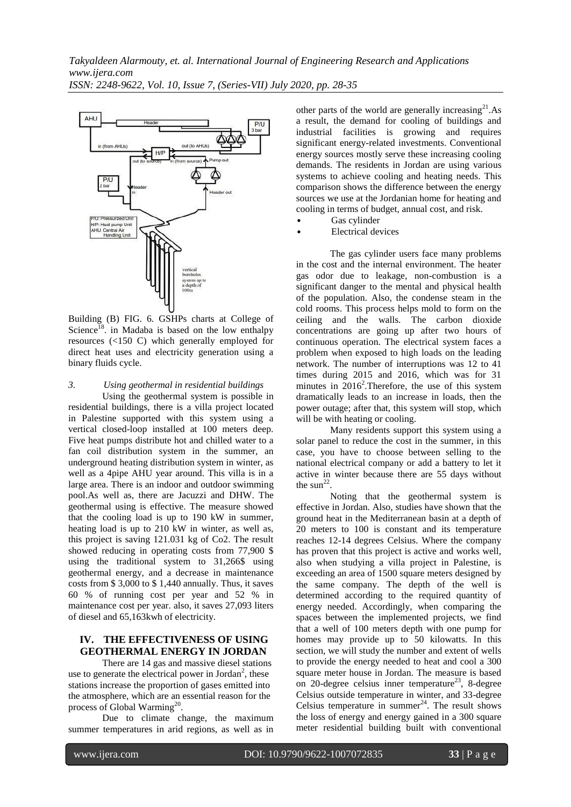

Building (B) FIG. 6. GSHPs charts at College of Science<sup>18</sup>. in Madaba is based on the low enthalpy resources (<150 C) which generally employed for direct heat uses and electricity generation using a binary fluids cycle.

#### *3. Using geothermal in residential buildings*

Using the geothermal system is possible in residential buildings, there is a villa project located in Palestine supported with this system using a vertical closed-loop installed at 100 meters deep. Five heat pumps distribute hot and chilled water to a fan coil distribution system in the summer, an underground heating distribution system in winter, as well as a 4pipe AHU year around. This villa is in a large area. There is an indoor and outdoor swimming pool.As well as, there are Jacuzzi and DHW. The geothermal using is effective. The measure showed that the cooling load is up to 190 kW in summer, heating load is up to 210 kW in winter, as well as, this project is saving 121.031 kg of Co2. The result showed reducing in operating costs from 77,900 \$ using the traditional system to 31,266\$ using geothermal energy, and a decrease in maintenance costs from \$ 3,000 to \$ 1,440 annually. Thus, it saves 60 % of running cost per year and 52 % in maintenance cost per year. also, it saves 27,093 liters of diesel and 65,163kwh of electricity.

#### **IV. THE EFFECTIVENESS OF USING GEOTHERMAL ENERGY IN JORDAN**

There are 14 gas and massive diesel stations use to generate the electrical power in Jordan<sup>2</sup>, these stations increase the proportion of gases emitted into the atmosphere, which are an essential reason for the process of Global Warming<sup>20</sup>.

Due to climate change, the maximum summer temperatures in arid regions, as well as in other parts of the world are generally increasing<sup>21</sup>.As a result, the demand for cooling of buildings and industrial facilities is growing and requires significant energy-related investments. Conventional energy sources mostly serve these increasing cooling demands. The residents in Jordan are using various systems to achieve cooling and heating needs. This comparison shows the difference between the energy sources we use at the Jordanian home for heating and cooling in terms of budget, annual cost, and risk.

- Gas cylinder
- Electrical devices

The gas cylinder users face many problems in the cost and the internal environment. The heater gas odor due to leakage, non-combustion is a significant danger to the mental and physical health of the population. Also, the condense steam in the cold rooms. This process helps mold to form on the ceiling and the walls. The carbon dioxide concentrations are going up after two hours of continuous operation. The electrical system faces a problem when exposed to high loads on the leading network. The number of interruptions was 12 to 41 times during 2015 and 2016, which was for 31 minutes in  $2016^2$ . Therefore, the use of this system dramatically leads to an increase in loads, then the power outage; after that, this system will stop, which will be with heating or cooling.

Many residents support this system using a solar panel to reduce the cost in the summer, in this case, you have to choose between selling to the national electrical company or add a battery to let it active in winter because there are 55 days without the sun<sup>22</sup>.

Noting that the geothermal system is effective in Jordan. Also, studies have shown that the ground heat in the Mediterranean basin at a depth of 20 meters to 100 is constant and its temperature reaches 12-14 degrees Celsius. Where the company has proven that this project is active and works well, also when studying a villa project in Palestine, is exceeding an area of 1500 square meters designed by the same company. The depth of the well is determined according to the required quantity of energy needed. Accordingly, when comparing the spaces between the implemented projects, we find that a well of 100 meters depth with one pump for homes may provide up to 50 kilowatts. In this section, we will study the number and extent of wells to provide the energy needed to heat and cool a 300 square meter house in Jordan. The measure is based on 20-degree celsius inner temperature<sup>23</sup>, 8-degree Celsius outside temperature in winter, and 33-degree Celsius temperature in summer $24$ . The result shows the loss of energy and energy gained in a 300 square meter residential building built with conventional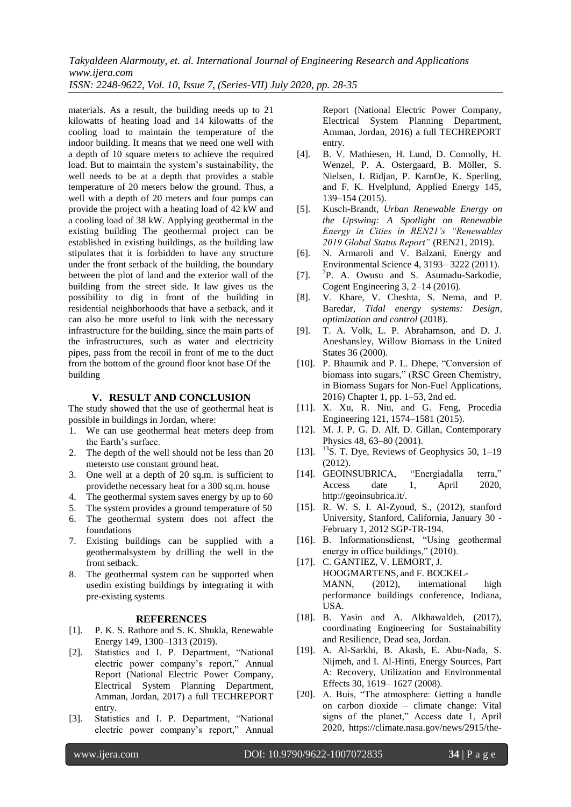materials. As a result, the building needs up to 21 kilowatts of heating load and 14 kilowatts of the cooling load to maintain the temperature of the indoor building. It means that we need one well with a depth of 10 square meters to achieve the required load. But to maintain the system's sustainability, the well needs to be at a depth that provides a stable temperature of 20 meters below the ground. Thus, a well with a depth of 20 meters and four pumps can provide the project with a heating load of 42 kW and a cooling load of 38 kW. Applying geothermal in the existing building The geothermal project can be established in existing buildings, as the building law stipulates that it is forbidden to have any structure under the front setback of the building, the boundary between the plot of land and the exterior wall of the building from the street side. It law gives us the possibility to dig in front of the building in residential neighborhoods that have a setback, and it can also be more useful to link with the necessary infrastructure for the building, since the main parts of the infrastructures, such as water and electricity pipes, pass from the recoil in front of me to the duct from the bottom of the ground floor knot base Of the building

#### **V. RESULT AND CONCLUSION**

The study showed that the use of geothermal heat is possible in buildings in Jordan, where:

- 1. We can use geothermal heat meters deep from the Earth's surface.
- 2. The depth of the well should not be less than 20 metersto use constant ground heat.
- 3. One well at a depth of 20 sq.m. is sufficient to providethe necessary heat for a 300 sq.m. house
- 4. The geothermal system saves energy by up to 60
- 5. The system provides a ground temperature of 50 6. The geothermal system does not affect the
- foundations 7. Existing buildings can be supplied with a
- geothermalsystem by drilling the well in the front setback.
- 8. The geothermal system can be supported when usedin existing buildings by integrating it with pre-existing systems

#### **REFERENCES**

- [1]. P. K. S. Rathore and S. K. Shukla, Renewable Energy 149, 1300–1313 (2019).
- [2]. Statistics and I. P. Department, "National electric power company's report," Annual Report (National Electric Power Company, Electrical System Planning Department, Amman, Jordan, 2017) a full TECHREPORT entry.
- [3]. Statistics and I. P. Department, "National electric power company's report," Annual

Report (National Electric Power Company, Electrical System Planning Department, Amman, Jordan, 2016) a full TECHREPORT entry.

- [4]. B. V. Mathiesen, H. Lund, D. Connolly, H. Wenzel, P. A. Ostergaard, B. Möller, S. Nielsen, I. Ridjan, P. KarnOe, K. Sperling, and F. K. Hvelplund, Applied Energy 145, 139–154 (2015).
- [5]. Kusch-Brandt, *Urban Renewable Energy on the Upswing: A Spotlight on Renewable Energy in Cities in REN21's "Renewables 2019 Global Status Report"* (REN21, 2019).
- [6]. N. Armaroli and V. Balzani, Energy and Environmental Science 4, 3193– 3222 (2011).
- $[7]$ . P. A. Owusu and S. Asumadu-Sarkodie, Cogent Engineering 3, 2–14 (2016).
- [8]. V. Khare, V. Cheshta, S. Nema, and P. Baredar, *Tidal energy systems: Design, optimization and control* (2018).
- [9]. T. A. Volk, L. P. Abrahamson, and D. J. Aneshansley, Willow Biomass in the United States 36 (2000).
- [10]. P. Bhaumik and P. L. Dhepe, "Conversion of biomass into sugars," (RSC Green Chemistry, in Biomass Sugars for Non-Fuel Applications, 2016) Chapter 1, pp. 1–53, 2nd ed.
- [11]. X. Xu, R. Niu, and G. Feng, Procedia Engineering 121, 1574–1581 (2015).
- [12]. M. J. P. G. D. Alf, D. Gillan, Contemporary Physics 48, 63–80 (2001).
- [13].  $^{13}$ S. T. Dye, Reviews of Geophysics 50, 1–19 (2012).
- [14]. GEOINSUBRICA, "Energiadalla terra," Access date 1, April 2020, http://geoinsubrica.it/.
- [15]. R. W. S. I. Al-Zyoud, S., (2012), stanford University, Stanford, California, January 30 - February 1, 2012 SGP-TR-194.
- [16]. B. Informationsdienst, "Using geothermal energy in office buildings," (2010).
- [17]. C. GANTIEZ, V. LEMORT, J. HOOGMARTENS, and F. BOCKEL-MANN, (2012), international high performance buildings conference, Indiana, USA.
- [18]. B. Yasin and A. Alkhawaldeh,  $(2017)$ , coordinating Engineering for Sustainability and Resilience, Dead sea, Jordan.
- [19]. A. Al-Sarkhi, B. Akash, E. Abu-Nada, S. Nijmeh, and I. Al-Hinti, Energy Sources, Part A: Recovery, Utilization and Environmental Effects 30, 1619– 1627 (2008).
- [20]. A. Buis, "The atmosphere: Getting a handle on carbon dioxide – climate change: Vital signs of the planet," Access date 1, April 2020, https://climate.nasa.gov/news/2915/the-